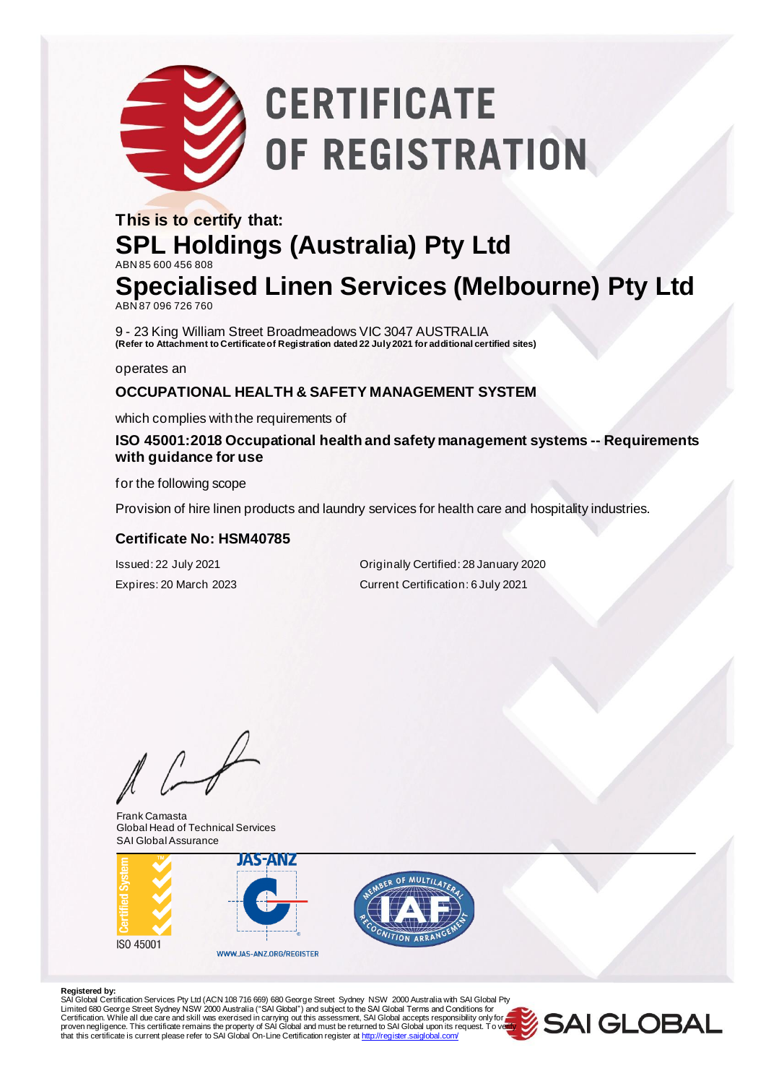# **CERTIFICATE** OF REGISTRATION

### **This is to certify that: SPL Holdings (Australia) Pty Ltd** ABN 85 600 456 808 **Specialised Linen Services (Melbourne) Pty Ltd**

ABN 87 096 726 760

9 - 23 King William Street Broadmeadows VIC 3047 AUSTRALIA **(Refer to Attachment to Certificate of Registration dated 22 July 2021 for additional certified sites)**

operates an

#### **OCCUPATIONAL HEALTH & SAFETY MANAGEMENT SYSTEM**

which complies with the requirements of

### **ISO 45001:2018 Occupational health and safety management systems -- Requirements with guidance for use**

for the following scope

Provision of hire linen products and laundry services for health care and hospitality industries.

#### **Certificate No: HSM40785**

Issued: 22 July 2021 Originally Certified: 28 January 2020 Expires: 20 March 2023 Current Certification: 6 July 2021

 $\sqrt{ }$ 

Frank Camasta Global Head of Technical Services SAI Global Assurance





#### **Registered by:**

SAl Global Certification Services Pty Ltd (ACN 108 716 669) 680 George Street Sydney NSW 2000 Australia with SAI Global Pty<br>Limited 680 George Street Sydney NSW 2000 Australia ("SAI Global") and subject to the SAI Global T Certification. While all due care and skill was exercised in carrying out this assessment, SAI Global accepts responsibility only for a second of the process of the process of process of process of process of process of pr that this certificate is current please refer to SAI Global On-Line Certification register [at http://register.saiglobal.com/](http://register.saiglobal.com/)

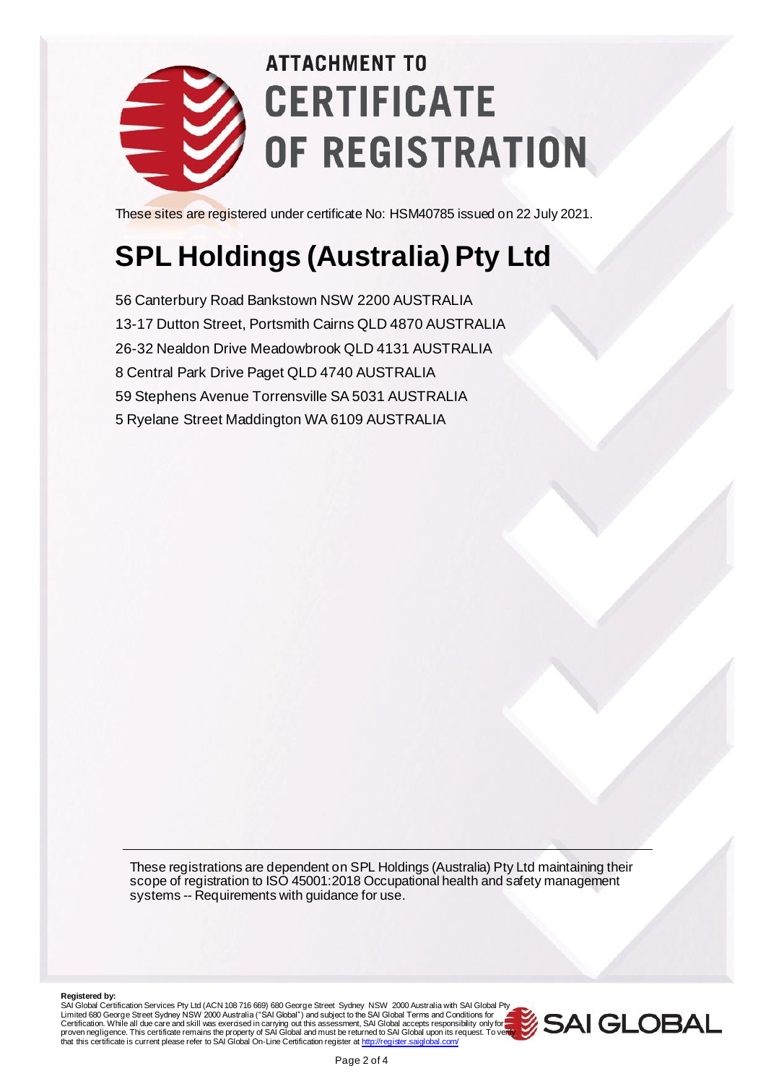

## **ATTACHMENT TO CERTIFICATE** OF REGISTRATION

These sites are registered under certificate No: HSM40785 issued on 22 July 2021.

### **SPL Holdings (Australia) Pty Ltd**

56 Canterbury Road Bankstown NSW 2200 AUSTRALIA 13-17 Dutton Street, Portsmith Cairns QLD 4870 AUSTRALIA 26-32 Nealdon Drive Meadowbrook QLD 4131 AUSTRALIA 8 Central Park Drive Paget QLD 4740 AUSTRALIA 59 Stephens Avenue Torrensville SA 5031 AUSTRALIA 5 Ryelane Street Maddington WA 6109 AUSTRALIA

These registrations are dependent on SPL Holdings (Australia) Pty Ltd maintaining their scope of registration to ISO 45001:2018 Occupational health and safety management systems -- Requirements with guidance for use.

**Registered by:**<br>SAI Global Certification Services Pty Ltd (ACN 108 716 669) 680 George Street Sydney NSW 2000 Australia with SAI Global Pty Limited 680 George Street Sydney NSW 2000 Australia ("SAI Global") and subject to the SAI Global Terms and Conditions for<br>Certification. While all due care and skill was exercised in carrying out this assessment, SAI Globa proven negligence. This certificate remains the property of SAI Global and must be returned to SAI Global upon its request. To veilly<br>that this certificate is current please refer to SAI Global On-Line Certification regist

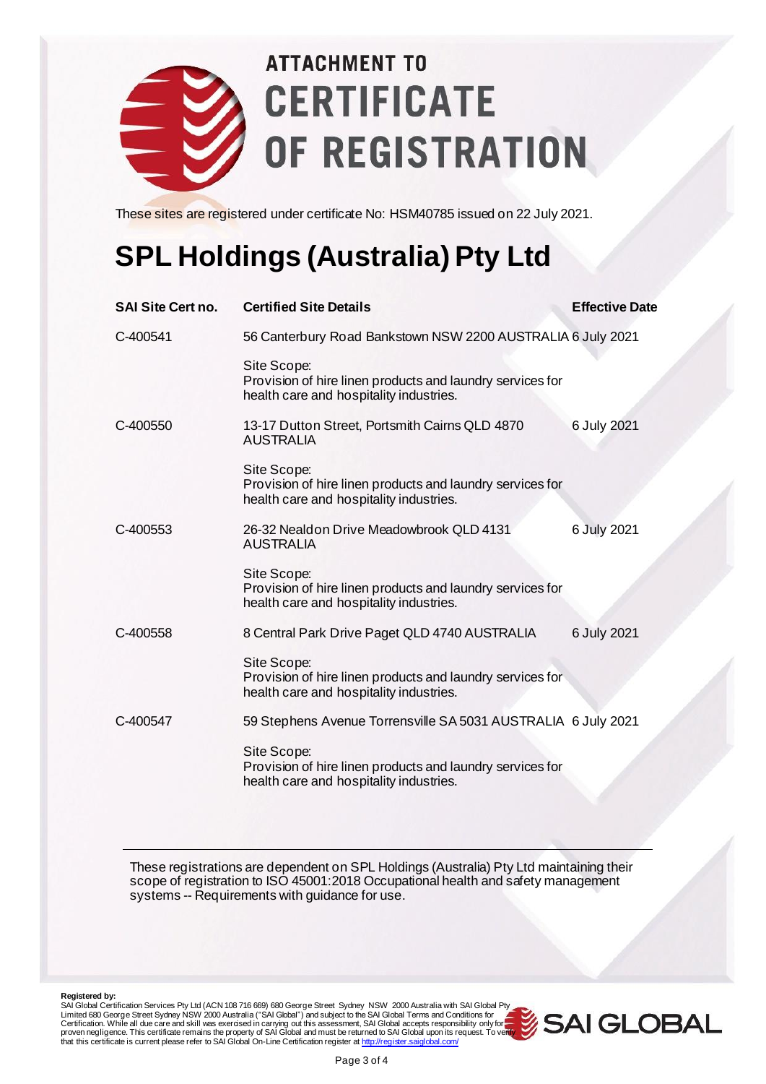

## **ATTACHMENT TO CERTIFICATE** OF REGISTRATION

These sites are registered under certificate No: HSM40785 issued on 22 July 2021.

### **SPL Holdings (Australia) Pty Ltd**

| <b>SAI Site Cert no.</b> | <b>Certified Site Details</b>                                                                                       | <b>Effective Date</b> |  |
|--------------------------|---------------------------------------------------------------------------------------------------------------------|-----------------------|--|
| C-400541                 | 56 Canterbury Road Bankstown NSW 2200 AUSTRALIA 6 July 2021                                                         |                       |  |
|                          | Site Scope:<br>Provision of hire linen products and laundry services for<br>health care and hospitality industries. |                       |  |
| C-400550                 | 13-17 Dutton Street, Portsmith Cairns QLD 4870<br><b>AUSTRALIA</b>                                                  | 6 July 2021           |  |
|                          | Site Scope:<br>Provision of hire linen products and laundry services for<br>health care and hospitality industries. |                       |  |
| C-400553                 | 26-32 Nealdon Drive Meadowbrook QLD 4131<br><b>AUSTRALIA</b>                                                        | 6 July 2021           |  |
|                          | Site Scope:<br>Provision of hire linen products and laundry services for<br>health care and hospitality industries. |                       |  |
| C-400558                 | 8 Central Park Drive Paget QLD 4740 AUSTRALIA                                                                       | 6 July 2021           |  |
|                          | Site Scope:<br>Provision of hire linen products and laundry services for<br>health care and hospitality industries. |                       |  |
| C-400547                 | 59 Stephens Avenue Torrensville SA 5031 AUSTRALIA 6 July 2021                                                       |                       |  |
|                          | Site Scope:<br>Provision of hire linen products and laundry services for<br>health care and hospitality industries. |                       |  |

These registrations are dependent on SPL Holdings (Australia) Pty Ltd maintaining their scope of registration to ISO 45001:2018 Occupational health and safety management systems -- Requirements with guidance for use.

**Registered by:**<br>SAI Global Certification Services Pty Ltd (ACN 108 716 669) 680 George Street Sydney NSW 2000 Australia with SAI Global Pty Limited 680 George Street Sydney NSW 2000 Australia ("SAI Global") and subject to the SAI Global Terms and Conditions for<br>Certification. While all due care and skill was exercised in carrying out this assessment, SAI Globa proven negligence. This certificate remains the property of SAI Global and must be returned to SAI Global upon its request. To veilly<br>that this certificate is current please refer to SAI Global On-Line Certification regist